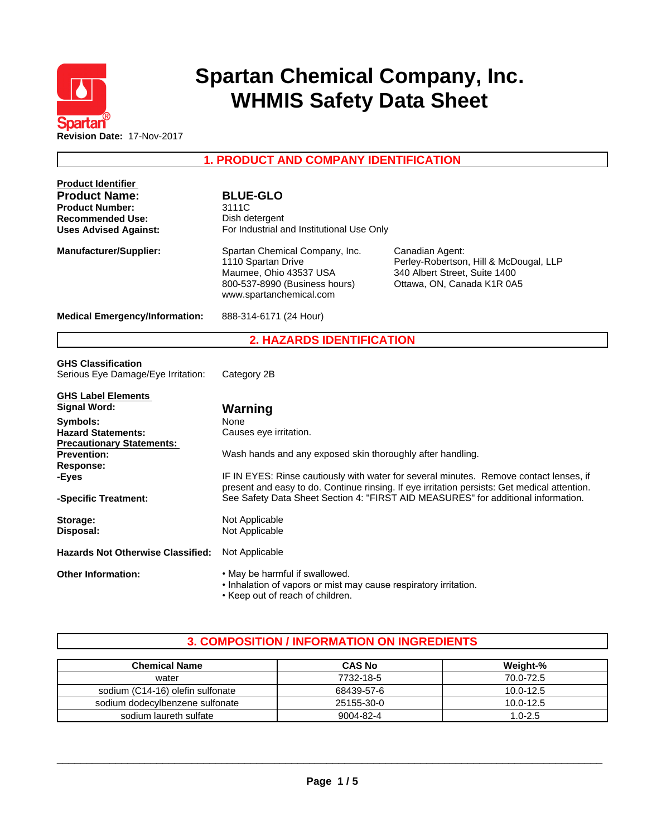

# **Spartan Chemical Company, Inc. WHMIS Safety Data Sheet**

**1. PRODUCT AND COMPANY IDENTIFICATION**

| <b>Product Identifier</b>                              |                                                                                        |                                                                                              |  |  |
|--------------------------------------------------------|----------------------------------------------------------------------------------------|----------------------------------------------------------------------------------------------|--|--|
| <b>Product Name:</b>                                   | <b>BLUE-GLO</b>                                                                        |                                                                                              |  |  |
| <b>Product Number:</b><br>3111C                        |                                                                                        |                                                                                              |  |  |
| <b>Recommended Use:</b>                                | Dish detergent                                                                         |                                                                                              |  |  |
| <b>Uses Advised Against:</b>                           | For Industrial and Institutional Use Only                                              |                                                                                              |  |  |
| <b>Manufacturer/Supplier:</b>                          | Spartan Chemical Company, Inc.                                                         | Canadian Agent:                                                                              |  |  |
|                                                        | 1110 Spartan Drive                                                                     | Perley-Robertson, Hill & McDougal, LLP                                                       |  |  |
|                                                        | Maumee, Ohio 43537 USA                                                                 | 340 Albert Street, Suite 1400                                                                |  |  |
|                                                        | 800-537-8990 (Business hours)                                                          | Ottawa, ON, Canada K1R 0A5                                                                   |  |  |
|                                                        | www.spartanchemical.com                                                                |                                                                                              |  |  |
| <b>Medical Emergency/Information:</b>                  | 888-314-6171 (24 Hour)                                                                 |                                                                                              |  |  |
|                                                        | <b>2. HAZARDS IDENTIFICATION</b>                                                       |                                                                                              |  |  |
| <b>GHS Classification</b>                              |                                                                                        |                                                                                              |  |  |
| Serious Eye Damage/Eye Irritation:                     | Category 2B                                                                            |                                                                                              |  |  |
|                                                        |                                                                                        |                                                                                              |  |  |
| <b>GHS Label Elements</b>                              |                                                                                        |                                                                                              |  |  |
| <b>Signal Word:</b>                                    | Warning                                                                                |                                                                                              |  |  |
| Symbols:                                               | None                                                                                   |                                                                                              |  |  |
| <b>Hazard Statements:</b>                              | Causes eye irritation.                                                                 |                                                                                              |  |  |
| <b>Precautionary Statements:</b><br><b>Prevention:</b> | Wash hands and any exposed skin thoroughly after handling.                             |                                                                                              |  |  |
| <b>Response:</b>                                       |                                                                                        |                                                                                              |  |  |
| -Eyes                                                  | IF IN EYES: Rinse cautiously with water for several minutes. Remove contact lenses, if |                                                                                              |  |  |
|                                                        |                                                                                        | present and easy to do. Continue rinsing. If eye irritation persists: Get medical attention. |  |  |
| -Specific Treatment:                                   |                                                                                        | See Safety Data Sheet Section 4: "FIRST AID MEASURES" for additional information.            |  |  |
| Storage:                                               | Not Applicable                                                                         |                                                                                              |  |  |
| Disposal:                                              | Not Applicable                                                                         |                                                                                              |  |  |
| <b>Hazards Not Otherwise Classified:</b>               | Not Applicable                                                                         |                                                                                              |  |  |
| <b>Other Information:</b>                              | . May be harmful if swallowed.                                                         |                                                                                              |  |  |
|                                                        | . Inhalation of vapors or mist may cause respiratory irritation.                       |                                                                                              |  |  |
|                                                        | • Keep out of reach of children.                                                       |                                                                                              |  |  |

## **3. COMPOSITION / INFORMATION ON INGREDIENTS**

| <b>Chemical Name</b>             | <b>CAS No</b> | Weight-%      |
|----------------------------------|---------------|---------------|
| water                            | 7732-18-5     | 70.0-72.5     |
| sodium (C14-16) olefin sulfonate | 68439-57-6    | $10.0 - 12.5$ |
| sodium dodecylbenzene sulfonate  | 25155-30-0    | 10.0-12.5     |
| sodium laureth sulfate           | 9004-82-4     | $1.0 - 2.5$   |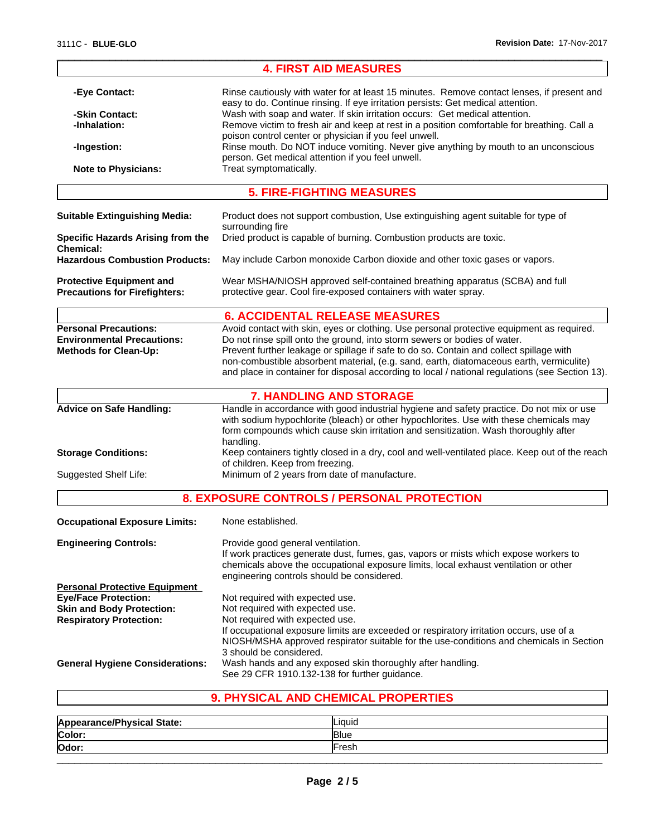|                                                                                                                                                                                                                                                                                                 | <b>4. FIRST AID MEASURES</b>                                                                                                                                                                                                                                                                                                                                                                                                                                    |
|-------------------------------------------------------------------------------------------------------------------------------------------------------------------------------------------------------------------------------------------------------------------------------------------------|-----------------------------------------------------------------------------------------------------------------------------------------------------------------------------------------------------------------------------------------------------------------------------------------------------------------------------------------------------------------------------------------------------------------------------------------------------------------|
| -Eye Contact:                                                                                                                                                                                                                                                                                   | Rinse cautiously with water for at least 15 minutes. Remove contact lenses, if present and<br>easy to do. Continue rinsing. If eye irritation persists: Get medical attention.                                                                                                                                                                                                                                                                                  |
| -Skin Contact:<br>-Inhalation:                                                                                                                                                                                                                                                                  | Wash with soap and water. If skin irritation occurs: Get medical attention.<br>Remove victim to fresh air and keep at rest in a position comfortable for breathing. Call a                                                                                                                                                                                                                                                                                      |
| -Ingestion:                                                                                                                                                                                                                                                                                     | poison control center or physician if you feel unwell.<br>Rinse mouth. Do NOT induce vomiting. Never give anything by mouth to an unconscious                                                                                                                                                                                                                                                                                                                   |
| <b>Note to Physicians:</b>                                                                                                                                                                                                                                                                      | person. Get medical attention if you feel unwell.<br>Treat symptomatically.                                                                                                                                                                                                                                                                                                                                                                                     |
|                                                                                                                                                                                                                                                                                                 | <b>5. FIRE-FIGHTING MEASURES</b>                                                                                                                                                                                                                                                                                                                                                                                                                                |
| <b>Suitable Extinguishing Media:</b>                                                                                                                                                                                                                                                            | Product does not support combustion, Use extinguishing agent suitable for type of<br>surrounding fire                                                                                                                                                                                                                                                                                                                                                           |
| Specific Hazards Arising from the<br><b>Chemical:</b>                                                                                                                                                                                                                                           | Dried product is capable of burning. Combustion products are toxic.                                                                                                                                                                                                                                                                                                                                                                                             |
| <b>Hazardous Combustion Products:</b>                                                                                                                                                                                                                                                           | May include Carbon monoxide Carbon dioxide and other toxic gases or vapors.                                                                                                                                                                                                                                                                                                                                                                                     |
| <b>Protective Equipment and</b><br><b>Precautions for Firefighters:</b>                                                                                                                                                                                                                         | Wear MSHA/NIOSH approved self-contained breathing apparatus (SCBA) and full<br>protective gear. Cool fire-exposed containers with water spray.                                                                                                                                                                                                                                                                                                                  |
|                                                                                                                                                                                                                                                                                                 | <b>6. ACCIDENTAL RELEASE MEASURES</b>                                                                                                                                                                                                                                                                                                                                                                                                                           |
| <b>Personal Precautions:</b><br><b>Environmental Precautions:</b><br><b>Methods for Clean-Up:</b>                                                                                                                                                                                               | Avoid contact with skin, eyes or clothing. Use personal protective equipment as required.<br>Do not rinse spill onto the ground, into storm sewers or bodies of water.<br>Prevent further leakage or spillage if safe to do so. Contain and collect spillage with<br>non-combustible absorbent material, (e.g. sand, earth, diatomaceous earth, vermiculite)<br>and place in container for disposal according to local / national regulations (see Section 13). |
|                                                                                                                                                                                                                                                                                                 | <b>7. HANDLING AND STORAGE</b>                                                                                                                                                                                                                                                                                                                                                                                                                                  |
| <b>Advice on Safe Handling:</b>                                                                                                                                                                                                                                                                 | Handle in accordance with good industrial hygiene and safety practice. Do not mix or use<br>with sodium hypochlorite (bleach) or other hypochlorites. Use with these chemicals may<br>form compounds which cause skin irritation and sensitization. Wash thoroughly after<br>handling.                                                                                                                                                                          |
| <b>Storage Conditions:</b>                                                                                                                                                                                                                                                                      | Keep containers tightly closed in a dry, cool and well-ventilated place. Keep out of the reach<br>of children. Keep from freezing.                                                                                                                                                                                                                                                                                                                              |
| <b>Suggested Shelf Life:</b>                                                                                                                                                                                                                                                                    | Minimum of 2 years from date of manufacture.                                                                                                                                                                                                                                                                                                                                                                                                                    |
|                                                                                                                                                                                                                                                                                                 | 8. EXPOSURE CONTROLS / PERSONAL PROTECTION                                                                                                                                                                                                                                                                                                                                                                                                                      |
| <b>Occupational Exposure Limits:</b>                                                                                                                                                                                                                                                            | None established.                                                                                                                                                                                                                                                                                                                                                                                                                                               |
| Provide good general ventilation.<br><b>Engineering Controls:</b><br>If work practices generate dust, fumes, gas, vapors or mists which expose workers to<br>chemicals above the occupational exposure limits, local exhaust ventilation or other<br>engineering controls should be considered. |                                                                                                                                                                                                                                                                                                                                                                                                                                                                 |
| <b>Personal Protective Equipment</b>                                                                                                                                                                                                                                                            |                                                                                                                                                                                                                                                                                                                                                                                                                                                                 |
| <b>Eye/Face Protection:</b>                                                                                                                                                                                                                                                                     | Not required with expected use.                                                                                                                                                                                                                                                                                                                                                                                                                                 |
| <b>Skin and Body Protection:</b>                                                                                                                                                                                                                                                                | Not required with expected use.                                                                                                                                                                                                                                                                                                                                                                                                                                 |
| <b>Respiratory Protection:</b>                                                                                                                                                                                                                                                                  | Not required with expected use.<br>If occupational exposure limits are exceeded or respiratory irritation occurs, use of a<br>NIOSH/MSHA approved respirator suitable for the use-conditions and chemicals in Section                                                                                                                                                                                                                                           |
| <b>General Hygiene Considerations:</b>                                                                                                                                                                                                                                                          | 3 should be considered.<br>Wash hands and any exposed skin thoroughly after handling.<br>See 29 CFR 1910.132-138 for further guidance.                                                                                                                                                                                                                                                                                                                          |
|                                                                                                                                                                                                                                                                                                 | 9. PHYSICAL AND CHEMICAL PROPERTIES                                                                                                                                                                                                                                                                                                                                                                                                                             |

# **9. PHYSICAL AND CHEMICAL PROPERTIES**

| e/Physical State:<br>App | Liquid      |  |
|--------------------------|-------------|--|
| Color:                   | <b>Blue</b> |  |
| Odor:                    | Fresh       |  |
|                          |             |  |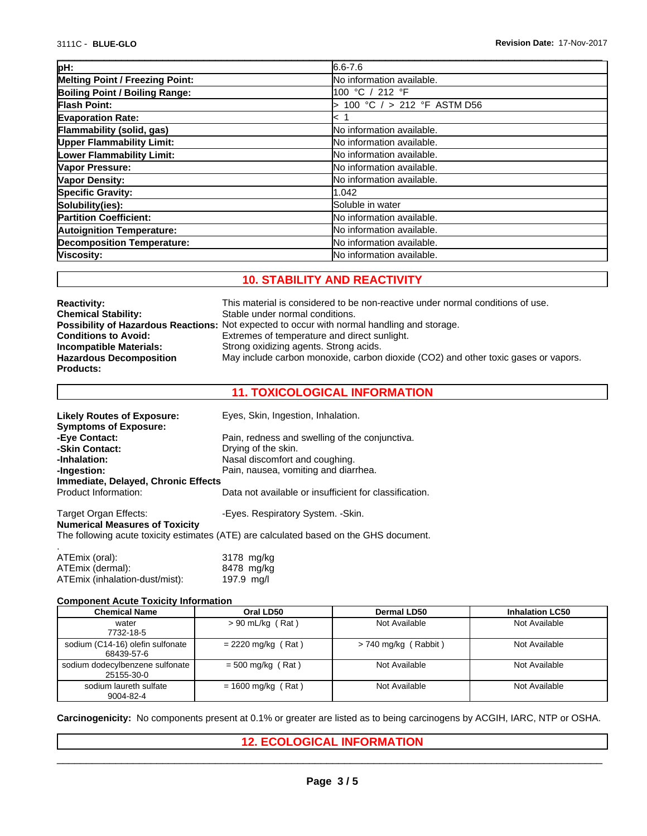| pH:                                    | $6.6 - 7.6$                |
|----------------------------------------|----------------------------|
| <b>Melting Point / Freezing Point:</b> | No information available.  |
| Boiling Point / Boiling Range:         | 100 °C / 212 °F            |
| <b>Flash Point:</b>                    | 100 °C / > 212 °F ASTM D56 |
| <b>Evaporation Rate:</b>               | k 1                        |
| Flammability (solid, gas)              | No information available.  |
| <b>Upper Flammability Limit:</b>       | No information available.  |
| Lower Flammability Limit:              | No information available.  |
| Vapor Pressure:                        | No information available.  |
| Vapor Density:                         | No information available.  |
| <b>Specific Gravity:</b>               | 1.042                      |
| Solubility(ies):                       | Soluble in water           |
| <b>Partition Coefficient:</b>          | No information available.  |
| <b>Autoignition Temperature:</b>       | No information available.  |
| <b>Decomposition Temperature:</b>      | No information available.  |
| Viscosity:                             | No information available.  |
|                                        |                            |

## **10. STABILITY AND REACTIVITY**

| <b>Reactivity:</b>             | This material is considered to be non-reactive under normal conditions of use.                     |
|--------------------------------|----------------------------------------------------------------------------------------------------|
| <b>Chemical Stability:</b>     | Stable under normal conditions.                                                                    |
|                                | <b>Possibility of Hazardous Reactions:</b> Not expected to occur with normal handling and storage. |
| <b>Conditions to Avoid:</b>    | Extremes of temperature and direct sunlight.                                                       |
| Incompatible Materials:        | Strong oxidizing agents. Strong acids.                                                             |
| <b>Hazardous Decomposition</b> | May include carbon monoxide, carbon dioxide (CO2) and other toxic gases or vapors.                 |
| <b>Products:</b>               |                                                                                                    |

## **11. TOXICOLOGICAL INFORMATION**

| <b>Likely Routes of Exposure:</b>     | Eyes, Skin, Ingestion, Inhalation.                                                     |
|---------------------------------------|----------------------------------------------------------------------------------------|
| <b>Symptoms of Exposure:</b>          |                                                                                        |
| -Eye Contact:                         | Pain, redness and swelling of the conjunctiva.                                         |
| -Skin Contact:                        | Drying of the skin.                                                                    |
| -Inhalation:                          | Nasal discomfort and coughing.                                                         |
| -Ingestion:                           | Pain, nausea, vomiting and diarrhea.                                                   |
| Immediate, Delayed, Chronic Effects   |                                                                                        |
| Product Information:                  | Data not available or insufficient for classification.                                 |
| Target Organ Effects:                 | -Eyes. Respiratory System. -Skin.                                                      |
| <b>Numerical Measures of Toxicity</b> | The following acute toxicity estimates (ATE) are calculated based on the GHS document. |
| ATEmix (oral):                        | 3178 mg/kg                                                                             |

| ATEMIX (Oral):                 | 3178 mg/kg |  |
|--------------------------------|------------|--|
| ATEmix (dermal):               | 8478 mg/kg |  |
| ATEmix (inhalation-dust/mist): | 197.9 mg/l |  |

#### **Component Acute Toxicity Information**

| <b>Chemical Name</b>                           | Oral LD50            | <b>Dermal LD50</b>     | <b>Inhalation LC50</b> |
|------------------------------------------------|----------------------|------------------------|------------------------|
| water<br>7732-18-5                             | $> 90$ mL/kg (Rat)   | Not Available          | Not Available          |
| sodium (C14-16) olefin sulfonate<br>68439-57-6 | $= 2220$ mg/kg (Rat) | $> 740$ mg/kg (Rabbit) | Not Available          |
| sodium dodecylbenzene sulfonate<br>25155-30-0  | $= 500$ mg/kg (Rat)  | Not Available          | Not Available          |
| sodium laureth sulfate<br>9004-82-4            | $= 1600$ mg/kg (Rat) | Not Available          | Not Available          |

**Carcinogenicity:** No components present at 0.1% or greater are listed as to being carcinogens by ACGIH, IARC, NTP or OSHA.

**12. ECOLOGICAL INFORMATION**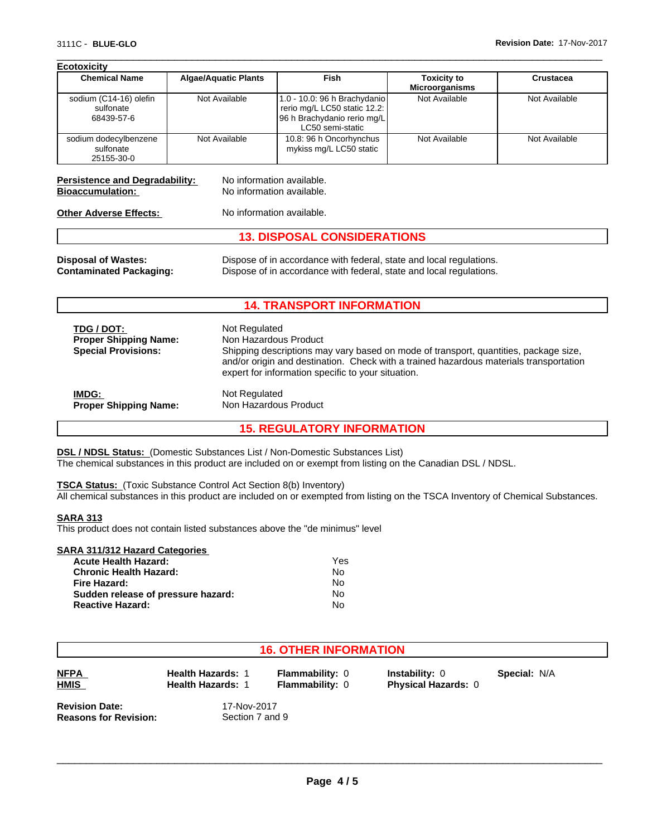| <b>Ecotoxicity</b>                                |                             |                                                                                                                 |                                             |               |
|---------------------------------------------------|-----------------------------|-----------------------------------------------------------------------------------------------------------------|---------------------------------------------|---------------|
| <b>Chemical Name</b>                              | <b>Algae/Aquatic Plants</b> | Fish                                                                                                            | <b>Toxicity to</b><br><b>Microorganisms</b> | Crustacea     |
| sodium (C14-16) olefin<br>sulfonate<br>68439-57-6 | Not Available               | 1.0 - 10.0: 96 h Brachydanio<br>rerio mg/L LC50 static 12.2:<br>96 h Brachydanio rerio mg/L<br>LC50 semi-static | Not Available                               | Not Available |
| sodium dodecylbenzene<br>sulfonate<br>25155-30-0  | Not Available               | 10.8: 96 h Oncorhynchus<br>mykiss mg/L LC50 static                                                              | Not Available                               | Not Available |

 $\overline{\phantom{a}}$  ,  $\overline{\phantom{a}}$  ,  $\overline{\phantom{a}}$  ,  $\overline{\phantom{a}}$  ,  $\overline{\phantom{a}}$  ,  $\overline{\phantom{a}}$  ,  $\overline{\phantom{a}}$  ,  $\overline{\phantom{a}}$  ,  $\overline{\phantom{a}}$  ,  $\overline{\phantom{a}}$  ,  $\overline{\phantom{a}}$  ,  $\overline{\phantom{a}}$  ,  $\overline{\phantom{a}}$  ,  $\overline{\phantom{a}}$  ,  $\overline{\phantom{a}}$  ,  $\overline{\phantom{a}}$ 

# **Persistence and Degradability:** No information available.<br> **Bioaccumulation:** No information available.

**No information available.** 

**Other Adverse Effects:** No information available.

## **13. DISPOSAL CONSIDERATIONS**

**Disposal of Wastes:** Dispose of in accordance with federal, state and local regulations. **Contaminated Packaging:** Dispose of in accordance with federal, state and local regulations.

### **14. TRANSPORT INFORMATION**

| TDG / DOT:<br><b>Proper Shipping Name:</b><br><b>Special Provisions:</b> | Not Regulated<br>Non Hazardous Product<br>Shipping descriptions may vary based on mode of transport, quantities, package size,<br>and/or origin and destination. Check with a trained hazardous materials transportation<br>expert for information specific to your situation. |
|--------------------------------------------------------------------------|--------------------------------------------------------------------------------------------------------------------------------------------------------------------------------------------------------------------------------------------------------------------------------|
| <b>IMDG:</b>                                                             | Not Regulated                                                                                                                                                                                                                                                                  |
| <b>Proper Shipping Name:</b>                                             | Non Hazardous Product                                                                                                                                                                                                                                                          |

**15. REGULATORY INFORMATION**

**DSL / NDSL Status:** (Domestic Substances List / Non-Domestic Substances List) The chemical substances in this product are included on or exempt from listing on the Canadian DSL / NDSL.

**TSCA Status:** (Toxic Substance Control Act Section 8(b) Inventory) All chemical substances in this product are included on or exempted from listing on the TSCA Inventory of Chemical Substances.

#### **SARA 313**

This product does not contain listed substances above the "de minimus" level

## **SARA 311/312 Hazard Categories**

| <b>Acute Health Hazard:</b>        | Yes |
|------------------------------------|-----|
| <b>Chronic Health Hazard:</b>      | Nο  |
| Fire Hazard:                       | Nο  |
| Sudden release of pressure hazard: | No  |
| <b>Reactive Hazard:</b>            | Nο  |

### **16. OTHER INFORMATION**

| NFPA        |  |
|-------------|--|
| <b>HMIS</b> |  |

**Health Hazards: 1 Flammability: 0**<br>**Health Hazards: 1 Flammability: 0** 

**Flammability:** 0 **Instability:** 0

**Physical Hazards: 0** 

**Special:** N/A

**Revision Date:** 17-Nov-2017<br>**Reasons for Revision:** Section 7 and 9 **Reasons for Revision:**